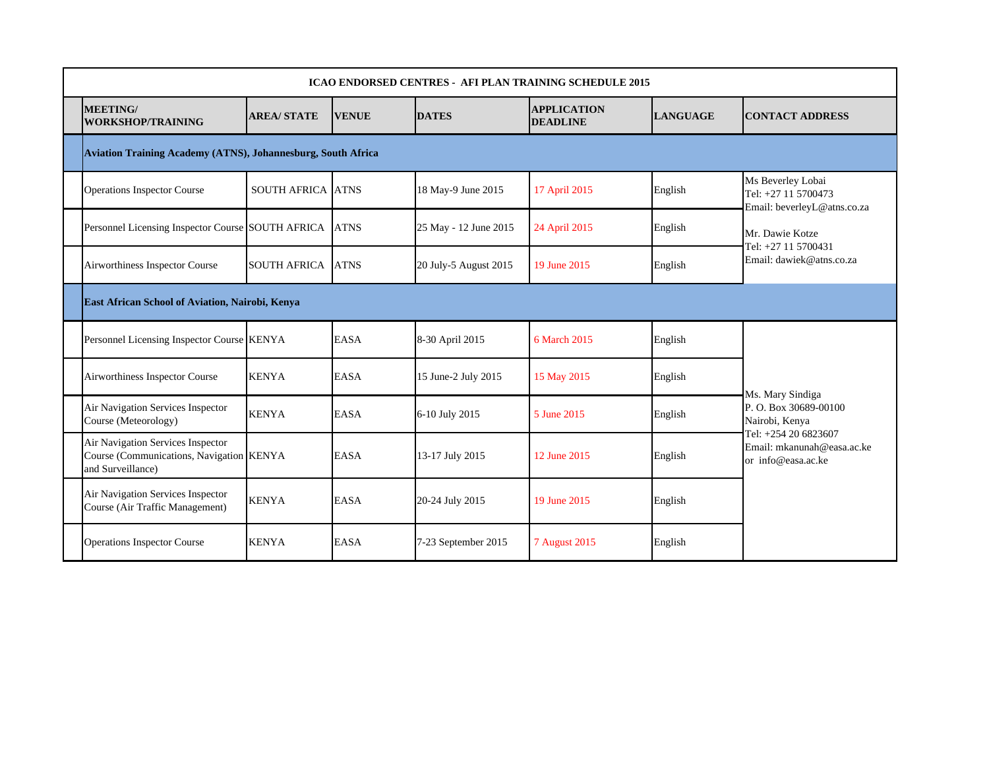| <b>ICAO ENDORSED CENTRES - AFI PLAN TRAINING SCHEDULE 2015</b>                                     |                          |              |                       |                                       |                 |                                                                          |  |  |  |  |  |  |
|----------------------------------------------------------------------------------------------------|--------------------------|--------------|-----------------------|---------------------------------------|-----------------|--------------------------------------------------------------------------|--|--|--|--|--|--|
| MEETING/<br><b>WORKSHOP/TRAINING</b>                                                               | <b>AREA/STATE</b>        | <b>VENUE</b> | <b>DATES</b>          | <b>APPLICATION</b><br><b>DEADLINE</b> | <b>LANGUAGE</b> | <b>CONTACT ADDRESS</b>                                                   |  |  |  |  |  |  |
| Aviation Training Academy (ATNS), Johannesburg, South Africa                                       |                          |              |                       |                                       |                 |                                                                          |  |  |  |  |  |  |
| <b>Operations Inspector Course</b>                                                                 | <b>SOUTH AFRICA ATNS</b> |              | 18 May-9 June 2015    | 17 April 2015                         | English         | Ms Beverley Lobai<br>Tel: +27 11 5700473<br>Email: beverleyL@atns.co.za  |  |  |  |  |  |  |
| Personnel Licensing Inspector Course SOUTH AFRICA                                                  |                          | <b>ATNS</b>  | 25 May - 12 June 2015 | 24 April 2015                         | English         | Mr. Dawie Kotze<br>Tel: +27 11 5700431                                   |  |  |  |  |  |  |
| Airworthiness Inspector Course                                                                     | <b>SOUTH AFRICA</b>      | <b>ATNS</b>  | 20 July-5 August 2015 | 19 June 2015                          | English         | Email: dawiek@atns.co.za                                                 |  |  |  |  |  |  |
| East African School of Aviation, Nairobi, Kenya                                                    |                          |              |                       |                                       |                 |                                                                          |  |  |  |  |  |  |
| Personnel Licensing Inspector Course KENYA                                                         |                          | <b>EASA</b>  | 8-30 April 2015       | 6 March 2015                          | English         |                                                                          |  |  |  |  |  |  |
| Airworthiness Inspector Course                                                                     | <b>KENYA</b>             | <b>EASA</b>  | 15 June-2 July 2015   | 15 May 2015                           | English         | Ms. Mary Sindiga                                                         |  |  |  |  |  |  |
| Air Navigation Services Inspector<br>Course (Meteorology)                                          | <b>KENYA</b>             | <b>EASA</b>  | 6-10 July 2015        | 5 June 2015                           | English         | P. O. Box 30689-00100<br>Nairobi, Kenya                                  |  |  |  |  |  |  |
| Air Navigation Services Inspector<br>Course (Communications, Navigation KENYA<br>and Surveillance) |                          | <b>EASA</b>  | 13-17 July 2015       | 12 June 2015                          | English         | Tel: +254 20 6823607<br>Email: mkanunah@easa.ac.ke<br>or info@easa.ac.ke |  |  |  |  |  |  |
| Air Navigation Services Inspector<br>Course (Air Traffic Management)                               | <b>KENYA</b>             | <b>EASA</b>  | 20-24 July 2015       | 19 June 2015                          | English         |                                                                          |  |  |  |  |  |  |
| <b>Operations Inspector Course</b>                                                                 | <b>KENYA</b>             | <b>EASA</b>  | 7-23 September 2015   | 7 August 2015                         | English         |                                                                          |  |  |  |  |  |  |